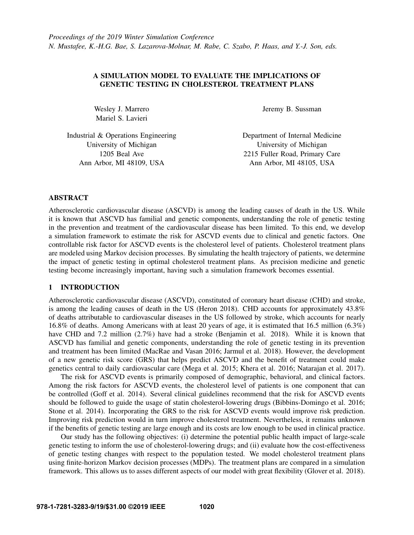## A SIMULATION MODEL TO EVALUATE THE IMPLICATIONS OF GENETIC TESTING IN CHOLESTEROL TREATMENT PLANS

Wesley J. Marrero Mariel S. Lavieri

Jeremy B. Sussman

Industrial & Operations Engineering University of Michigan 1205 Beal Ave Ann Arbor, MI 48109, USA

Department of Internal Medicine University of Michigan 2215 Fuller Road, Primary Care Ann Arbor, MI 48105, USA

## ABSTRACT

Atherosclerotic cardiovascular disease (ASCVD) is among the leading causes of death in the US. While it is known that ASCVD has familial and genetic components, understanding the role of genetic testing in the prevention and treatment of the cardiovascular disease has been limited. To this end, we develop a simulation framework to estimate the risk for ASCVD events due to clinical and genetic factors. One controllable risk factor for ASCVD events is the cholesterol level of patients. Cholesterol treatment plans are modeled using Markov decision processes. By simulating the health trajectory of patients, we determine the impact of genetic testing in optimal cholesterol treatment plans. As precision medicine and genetic testing become increasingly important, having such a simulation framework becomes essential.

## 1 INTRODUCTION

Atherosclerotic cardiovascular disease (ASCVD), constituted of coronary heart disease (CHD) and stroke, is among the leading causes of death in the US [\(Heron 2018\)](#page-10-0). CHD accounts for approximately 43.8% of deaths attributable to cardiovascular diseases in the US followed by stroke, which accounts for nearly 16.8% of deaths. Among Americans with at least 20 years of age, it is estimated that 16.5 million (6.3%) have CHD and 7.2 million (2.7%) have had a stroke [\(Benjamin et al. 2018\)](#page-9-0). While it is known that ASCVD has familial and genetic components, understanding the role of genetic testing in its prevention and treatment has been limited [\(MacRae and Vasan 2016;](#page-10-1) [Jarmul et al. 2018\)](#page-10-2). However, the development of a new genetic risk score (GRS) that helps predict ASCVD and the benefit of treatment could make genetics central to daily cardiovascular care [\(Mega et al. 2015;](#page-10-3) [Khera et al. 2016;](#page-10-4) [Natarajan et al. 2017\)](#page-10-5).

The risk for ASCVD events is primarily composed of demographic, behavioral, and clinical factors. Among the risk factors for ASCVD events, the cholesterol level of patients is one component that can be controlled [\(Goff et al. 2014\)](#page-9-1). Several clinical guidelines recommend that the risk for ASCVD events should be followed to guide the usage of statin cholesterol-lowering drugs [\(Bibbins-Domingo et al. 2016;](#page-9-2) [Stone et al. 2014\)](#page-11-0). Incorporating the GRS to the risk for ASCVD events would improve risk prediction. Improving risk prediction would in turn improve cholesterol treatment. Nevertheless, it remains unknown if the benefits of genetic testing are large enough and its costs are low enough to be used in clinical practice.

Our study has the following objectives: (i) determine the potential public health impact of large-scale genetic testing to inform the use of cholesterol-lowering drugs; and (ii) evaluate how the cost-effectiveness of genetic testing changes with respect to the population tested. We model cholesterol treatment plans using finite-horizon Markov decision processes (MDPs). The treatment plans are compared in a simulation framework. This allows us to asses different aspects of our model with great flexibility [\(Glover et al. 2018\)](#page-9-3).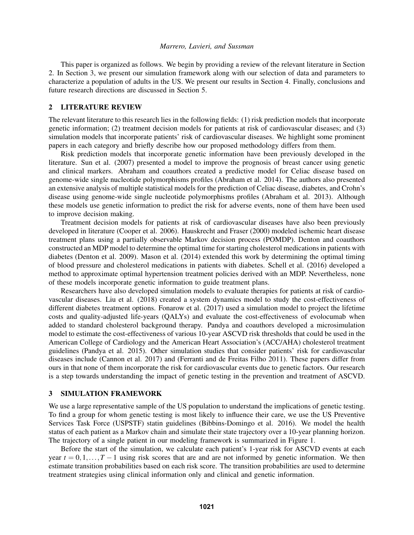This paper is organized as follows. We begin by providing a review of the relevant literature in Section [2.](#page-1-0) In Section [3,](#page-1-1) we present our simulation framework along with our selection of data and parameters to characterize a population of adults in the US. We present our results in Section [4.](#page-5-0) Finally, conclusions and future research directions are discussed in Section [5.](#page-7-0)

## <span id="page-1-0"></span>2 LITERATURE REVIEW

The relevant literature to this research lies in the following fields: (1) risk prediction models that incorporate genetic information; (2) treatment decision models for patients at risk of cardiovascular diseases; and (3) simulation models that incorporate patients' risk of cardiovascular diseases. We highlight some prominent papers in each category and briefly describe how our proposed methodology differs from them.

Risk prediction models that incorporate genetic information have been previously developed in the literature. [Sun et al. \(2007\)](#page-11-1) presented a model to improve the prognosis of breast cancer using genetic and clinical markers. Abraham and coauthors created a predictive model for Celiac disease based on genome-wide single nucleotide polymorphisms profiles [\(Abraham et al. 2014\)](#page-9-4). The authors also presented an extensive analysis of multiple statistical models for the prediction of Celiac disease, diabetes, and Crohn's disease using genome-wide single nucleotide polymorphisms profiles [\(Abraham et al. 2013\)](#page-9-5). Although these models use genetic information to predict the risk for adverse events, none of them have been used to improve decision making.

Treatment decision models for patients at risk of cardiovascular diseases have also been previously developed in literature [\(Cooper et al. 2006\)](#page-9-6). [Hauskrecht and Fraser \(2000\)](#page-10-6) modeled ischemic heart disease treatment plans using a partially observable Markov decision process (POMDP). Denton and coauthors constructed an MDP model to determine the optimal time for starting cholesterol medications in patients with diabetes [\(Denton et al. 2009\)](#page-9-7). [Mason et al. \(2014\)](#page-10-7) extended this work by determining the optimal timing of blood pressure and cholesterol medications in patients with diabetes. [Schell et al. \(2016\)](#page-11-2) developed a method to approximate optimal hypertension treatment policies derived with an MDP. Nevertheless, none of these models incorporate genetic information to guide treatment plans.

Researchers have also developed simulation models to evaluate therapies for patients at risk of cardiovascular diseases. [Liu et al. \(2018\)](#page-10-8) created a system dynamics model to study the cost-effectiveness of different diabetes treatment options. [Fonarow et al. \(2017\)](#page-9-8) used a simulation model to project the lifetime costs and quality-adjusted life-years (QALYs) and evaluate the cost-effectiveness of evolocumab when added to standard cholesterol background therapy. Pandya and coauthors developed a microsimulation model to estimate the cost-effectiveness of various 10-year ASCVD risk thresholds that could be used in the American College of Cardiology and the American Heart Association's (ACC/AHA) cholesterol treatment guidelines [\(Pandya et al. 2015\)](#page-11-3). Other simulation studies that consider patients' risk for cardiovascular diseases include [\(Cannon et al. 2017\)](#page-9-9) and [\(Ferranti and de Freitas Filho 2011\)](#page-9-10). These papers differ from ours in that none of them incorporate the risk for cardiovascular events due to genetic factors. Our research is a step towards understanding the impact of genetic testing in the prevention and treatment of ASCVD.

## <span id="page-1-1"></span>3 SIMULATION FRAMEWORK

We use a large representative sample of the US population to understand the implications of genetic testing. To find a group for whom genetic testing is most likely to influence their care, we use the US Preventive Services Task Force (USPSTF) statin guidelines [\(Bibbins-Domingo et al. 2016\)](#page-9-2). We model the health status of each patient as a Markov chain and simulate their state trajectory over a 10-year planning horizon. The trajectory of a single patient in our modeling framework is summarized in Figure [1.](#page-2-0)

Before the start of the simulation, we calculate each patient's 1-year risk for ASCVD events at each year  $t = 0, 1, \ldots, T-1$  using risk scores that are and are not informed by genetic information. We then estimate transition probabilities based on each risk score. The transition probabilities are used to determine treatment strategies using clinical information only and clinical and genetic information.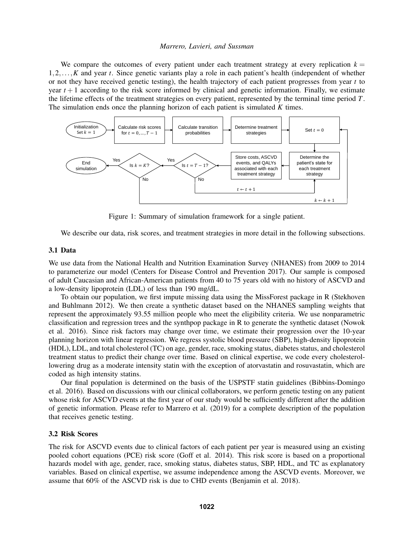We compare the outcomes of every patient under each treatment strategy at every replication  $k =$ 1,2,...,*K* and year *t*. Since genetic variants play a role in each patient's health (independent of whether or not they have received genetic testing), the health trajectory of each patient progresses from year *t* to year  $t + 1$  according to the risk score informed by clinical and genetic information. Finally, we estimate the lifetime effects of the treatment strategies on every patient, represented by the terminal time period *T*. The simulation ends once the planning horizon of each patient is simulated *K* times.



<span id="page-2-0"></span>Figure 1: Summary of simulation framework for a single patient.

We describe our data, risk scores, and treatment strategies in more detail in the following subsections.

## 3.1 Data

We use data from the National Health and Nutrition Examination Survey (NHANES) from 2009 to 2014 to parameterize our model [\(Centers for Disease Control and Prevention 2017\)](#page-9-11). Our sample is composed of adult Caucasian and African-American patients from 40 to 75 years old with no history of ASCVD and a low-density lipoprotein (LDL) of less than 190 mg/dL.

To obtain our population, we first impute missing data using the MissForest package in R [\(Stekhoven](#page-11-4) [and Buhlmann 2012\)](#page-11-4). We then create a synthetic dataset based on the NHANES sampling weights that represent the approximately 93.55 million people who meet the eligibility criteria. We use nonparametric classification and regression trees and the synthpop package in R to generate the synthetic dataset [\(Nowok](#page-10-9) [et al. 2016\)](#page-10-9). Since risk factors may change over time, we estimate their progression over the 10-year planning horizon with linear regression. We regress systolic blood pressure (SBP), high-density lipoprotein (HDL), LDL, and total cholesterol (TC) on age, gender, race, smoking status, diabetes status, and cholesterol treatment status to predict their change over time. Based on clinical expertise, we code every cholesterollowering drug as a moderate intensity statin with the exception of atorvastatin and rosuvastatin, which are coded as high intensity statins.

Our final population is determined on the basis of the USPSTF statin guidelines [\(Bibbins-Domingo](#page-9-2) [et al. 2016\)](#page-9-2). Based on discussions with our clinical collaborators, we perform genetic testing on any patient whose risk for ASCVD events at the first year of our study would be sufficiently different after the addition of genetic information. Please refer to [Marrero et al. \(2019\)](#page-10-10) for a complete description of the population that receives genetic testing.

## 3.2 Risk Scores

The risk for ASCVD events due to clinical factors of each patient per year is measured using an existing pooled cohort equations (PCE) risk score [\(Goff et al. 2014\)](#page-9-1). This risk score is based on a proportional hazards model with age, gender, race, smoking status, diabetes status, SBP, HDL, and TC as explanatory variables. Based on clinical expertise, we assume independence among the ASCVD events. Moreover, we assume that 60% of the ASCVD risk is due to CHD events [\(Benjamin et al. 2018\)](#page-9-0).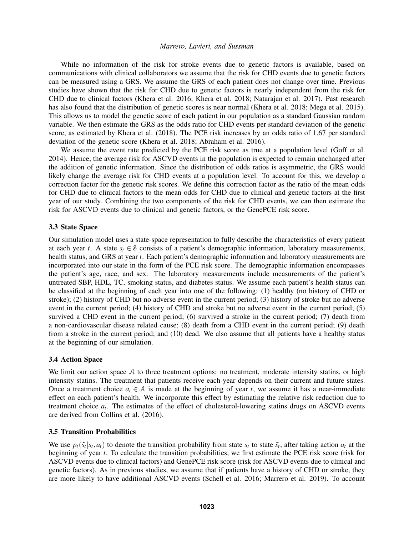While no information of the risk for stroke events due to genetic factors is available, based on communications with clinical collaborators we assume that the risk for CHD events due to genetic factors can be measured using a GRS. We assume the GRS of each patient does not change over time. Previous studies have shown that the risk for CHD due to genetic factors is nearly independent from the risk for CHD due to clinical factors [\(Khera et al. 2016;](#page-10-4) [Khera et al. 2018;](#page-10-11) [Natarajan et al. 2017\)](#page-10-5). Past research has also found that the distribution of genetic scores is near normal [\(Khera et al. 2018;](#page-10-11) [Mega et al. 2015\)](#page-10-3). This allows us to model the genetic score of each patient in our population as a standard Gaussian random variable. We then estimate the GRS as the odds ratio for CHD events per standard deviation of the genetic score, as estimated by [Khera et al. \(2018\).](#page-10-11) The PCE risk increases by an odds ratio of 1.67 per standard deviation of the genetic score [\(Khera et al. 2018;](#page-10-11) [Abraham et al. 2016\)](#page-9-12).

We assume the event rate predicted by the PCE risk score as true at a population level [\(Goff et al.](#page-9-1) [2014\)](#page-9-1). Hence, the average risk for ASCVD events in the population is expected to remain unchanged after the addition of genetic information. Since the distribution of odds ratios is asymmetric, the GRS would likely change the average risk for CHD events at a population level. To account for this, we develop a correction factor for the genetic risk scores. We define this correction factor as the ratio of the mean odds for CHD due to clinical factors to the mean odds for CHD due to clinical and genetic factors at the first year of our study. Combining the two components of the risk for CHD events, we can then estimate the risk for ASCVD events due to clinical and genetic factors, or the GenePCE risk score.

## 3.3 State Space

Our simulation model uses a state-space representation to fully describe the characteristics of every patient at each year *t*. A state  $s_t \in \mathcal{S}$  consists of a patient's demographic information, laboratory measurements, health status, and GRS at year *t*. Each patient's demographic information and laboratory measurements are incorporated into our state in the form of the PCE risk score. The demographic information encompasses the patient's age, race, and sex. The laboratory measurements include measurements of the patient's untreated SBP, HDL, TC, smoking status, and diabetes status. We assume each patient's health status can be classified at the beginning of each year into one of the following: (1) healthy (no history of CHD or stroke); (2) history of CHD but no adverse event in the current period; (3) history of stroke but no adverse event in the current period; (4) history of CHD and stroke but no adverse event in the current period; (5) survived a CHD event in the current period; (6) survived a stroke in the current period; (7) death from a non-cardiovascular disease related cause; (8) death from a CHD event in the current period; (9) death from a stroke in the current period; and (10) dead. We also assume that all patients have a healthy status at the beginning of our simulation.

### 3.4 Action Space

We limit our action space A to three treatment options: no treatment, moderate intensity statins, or high intensity statins. The treatment that patients receive each year depends on their current and future states. Once a treatment choice  $a_t \in A$  is made at the beginning of year *t*, we assume it has a near-immediate effect on each patient's health. We incorporate this effect by estimating the relative risk reduction due to treatment choice *a<sup>t</sup>* . The estimates of the effect of cholesterol-lowering statins drugs on ASCVD events are derived from [Collins et al. \(2016\).](#page-9-13)

### 3.5 Transition Probabilities

We use  $p_t(\tilde{s}_t | s_t, a_t)$  to denote the transition probability from state  $s_t$  to state  $\tilde{s}_t$ , after taking action  $a_t$  at the beginning of year *t*. To calculate the transition probabilities, we first estimate the PCE risk score (risk for ASCVD events due to clinical factors) and GenePCE risk score (risk for ASCVD events due to clinical and genetic factors). As in previous studies, we assume that if patients have a history of CHD or stroke, they are more likely to have additional ASCVD events [\(Schell et al. 2016;](#page-11-2) [Marrero et al. 2019\)](#page-10-10). To account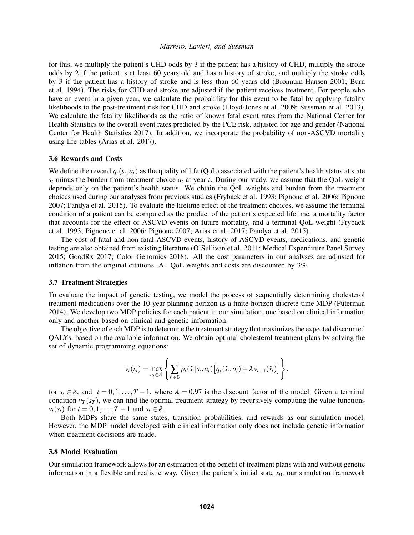for this, we multiply the patient's CHD odds by 3 if the patient has a history of CHD, multiply the stroke odds by 2 if the patient is at least 60 years old and has a history of stroke, and multiply the stroke odds by 3 if the patient has a history of stroke and is less than 60 years old [\(Brønnum-Hansen 2001;](#page-9-14) [Burn](#page-9-15) [et al. 1994\)](#page-9-15). The risks for CHD and stroke are adjusted if the patient receives treatment. For people who have an event in a given year, we calculate the probability for this event to be fatal by applying fatality likelihoods to the post-treatment risk for CHD and stroke [\(Lloyd-Jones et al. 2009;](#page-10-12) [Sussman et al. 2013\)](#page-11-5). We calculate the fatality likelihoods as the ratio of known fatal event rates from the National Center for Health Statistics to the overall event rates predicted by the PCE risk, adjusted for age and gender [\(National](#page-10-13) [Center for Health Statistics 2017\)](#page-10-13). In addition, we incorporate the probability of non-ASCVD mortality using life-tables [\(Arias et al. 2017\)](#page-9-16).

### 3.6 Rewards and Costs

We define the reward  $q_t(s_t, a_t)$  as the quality of life (QoL) associated with the patient's health status at state  $s_t$  minus the burden from treatment choice  $a_t$  at year *t*. During our study, we assume that the QoL weight depends only on the patient's health status. We obtain the QoL weights and burden from the treatment choices used during our analyses from previous studies [\(Fryback et al. 1993;](#page-9-17) [Pignone et al. 2006;](#page-11-6) [Pignone](#page-11-7) [2007;](#page-11-7) [Pandya et al. 2015\)](#page-11-3). To evaluate the lifetime effect of the treatment choices, we assume the terminal condition of a patient can be computed as the product of the patient's expected lifetime, a mortality factor that accounts for the effect of ASCVD events on future mortality, and a terminal QoL weight [\(Fryback](#page-9-17) [et al. 1993;](#page-9-17) [Pignone et al. 2006;](#page-11-6) [Pignone 2007;](#page-11-7) [Arias et al. 2017;](#page-9-16) [Pandya et al. 2015\)](#page-11-3).

The cost of fatal and non-fatal ASCVD events, history of ASCVD events, medications, and genetic testing are also obtained from existing literature [\(O'Sullivan et al. 2011;](#page-10-14) [Medical Expenditure Panel Survey](#page-10-15) [2015;](#page-10-15) [GoodRx 2017;](#page-10-16) [Color Genomics 2018\)](#page-9-18). All the cost parameters in our analyses are adjusted for inflation from the original citations. All QoL weights and costs are discounted by 3%.

### 3.7 Treatment Strategies

To evaluate the impact of genetic testing, we model the process of sequentially determining cholesterol treatment medications over the 10-year planning horizon as a finite-horizon discrete-time MDP [\(Puterman](#page-11-8) [2014\)](#page-11-8). We develop two MDP policies for each patient in our simulation, one based on clinical information only and another based on clinical and genetic information.

The objective of each MDP is to determine the treatment strategy that maximizes the expected discounted QALYs, based on the available information. We obtain optimal cholesterol treatment plans by solving the set of dynamic programming equations:

$$
v_t(s_t) = \max_{a_t \in \mathcal{A}} \left\{ \sum_{\tilde{s}_t \in \mathcal{S}} p_t(\tilde{s}_t|s_t, a_t) \big[ q_t(\tilde{s}_t, a_t) + \lambda v_{t+1}(\tilde{s}_t) \big] \right\},
$$

for  $s_t \in \mathcal{S}$ , and  $t = 0, 1, \ldots, T - 1$ , where  $\lambda = 0.97$  is the discount factor of the model. Given a terminal condition  $v_T(s_T)$ , we can find the optimal treatment strategy by recursively computing the value functions *v*<sub>t</sub>(*s*<sub>*t*</sub>) for *t* = 0,1,...,*T* − 1 and *s*<sub>*t*</sub> ∈ *S*.

Both MDPs share the same states, transition probabilities, and rewards as our simulation model. However, the MDP model developed with clinical information only does not include genetic information when treatment decisions are made.

#### 3.8 Model Evaluation

Our simulation framework allows for an estimation of the benefit of treatment plans with and without genetic information in a flexible and realistic way. Given the patient's initial state  $s<sub>0</sub>$ , our simulation framework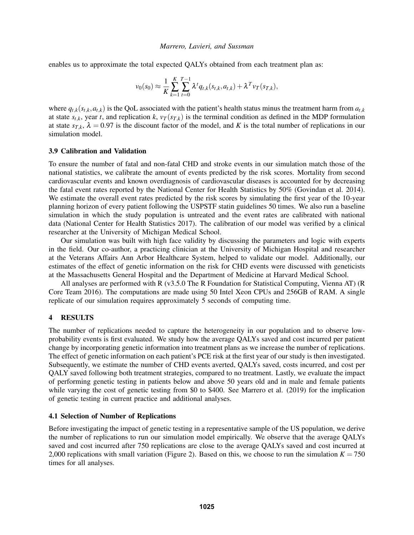enables us to approximate the total expected QALYs obtained from each treatment plan as:

$$
v_0(s_0) \approx \frac{1}{K} \sum_{k=1}^K \sum_{t=0}^{T-1} \lambda^t q_{t,k}(s_{t,k}, a_{t,k}) + \lambda^T v_T(s_{T,k}),
$$

where  $q_{t,k}(s_{t,k}, a_{t,k})$  is the QoL associated with the patient's health status minus the treatment harm from  $a_{t,k}$ at state  $s_{t,k}$ , year *t*, and replication *k*,  $v_T(s_{T,k})$  is the terminal condition as defined in the MDP formulation at state  $s_{T,k}$ ,  $\lambda = 0.97$  is the discount factor of the model, and *K* is the total number of replications in our simulation model.

### 3.9 Calibration and Validation

To ensure the number of fatal and non-fatal CHD and stroke events in our simulation match those of the national statistics, we calibrate the amount of events predicted by the risk scores. Mortality from second cardiovascular events and known overdiagnosis of cardiovascular diseases is accounted for by decreasing the fatal event rates reported by the National Center for Health Statistics by 50% [\(Govindan et al. 2014\)](#page-10-17). We estimate the overall event rates predicted by the risk scores by simulating the first year of the 10-year planning horizon of every patient following the USPSTF statin guidelines 50 times. We also run a baseline simulation in which the study population is untreated and the event rates are calibrated with national data [\(National Center for Health Statistics 2017\)](#page-10-13). The calibration of our model was verified by a clinical researcher at the University of Michigan Medical School.

Our simulation was built with high face validity by discussing the parameters and logic with experts in the field. Our co-author, a practicing clinician at the University of Michigan Hospital and researcher at the Veterans Affairs Ann Arbor Healthcare System, helped to validate our model. Additionally, our estimates of the effect of genetic information on the risk for CHD events were discussed with geneticists at the Massachusetts General Hospital and the Department of Medicine at Harvard Medical School.

All analyses are performed with R (v3.5.0 The R Foundation for Statistical Computing, Vienna AT) [\(R](#page-11-9) [Core Team 2016\)](#page-11-9). The computations are made using 50 Intel Xeon CPUs and 256GB of RAM. A single replicate of our simulation requires approximately 5 seconds of computing time.

### <span id="page-5-0"></span>4 RESULTS

The number of replications needed to capture the heterogeneity in our population and to observe lowprobability events is first evaluated. We study how the average QALYs saved and cost incurred per patient change by incorporating genetic information into treatment plans as we increase the number of replications. The effect of genetic information on each patient's PCE risk at the first year of our study is then investigated. Subsequently, we estimate the number of CHD events averted, QALYs saved, costs incurred, and cost per QALY saved following both treatment strategies, compared to no treatment. Lastly, we evaluate the impact of performing genetic testing in patients below and above 50 years old and in male and female patients while varying the cost of genetic testing from \$0 to \$400. See [Marrero et al. \(2019\)](#page-10-10) for the implication of genetic testing in current practice and additional analyses.

## 4.1 Selection of Number of Replications

Before investigating the impact of genetic testing in a representative sample of the US population, we derive the number of replications to run our simulation model empirically. We observe that the average QALYs saved and cost incurred after 750 replications are close to the average QALYs saved and cost incurred at 2,000 replications with small variation (Figure [2\)](#page-6-0). Based on this, we choose to run the simulation  $K = 750$ times for all analyses.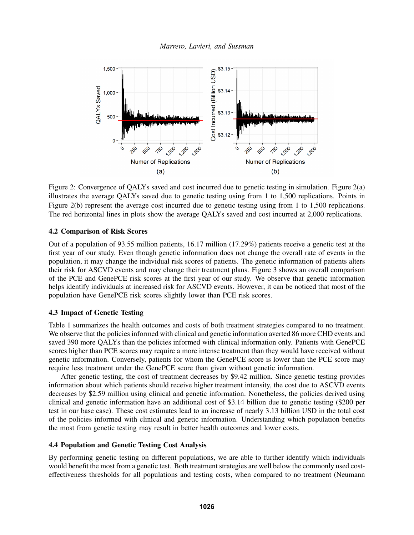

<span id="page-6-0"></span>Figure 2: Convergence of QALYs saved and cost incurred due to genetic testing in simulation. Figure [2\(](#page-6-0)a) illustrates the average QALYs saved due to genetic testing using from 1 to 1,500 replications. Points in Figure [2\(](#page-6-0)b) represent the average cost incurred due to genetic testing using from 1 to 1,500 replications. The red horizontal lines in plots show the average QALYs saved and cost incurred at 2,000 replications.

## 4.2 Comparison of Risk Scores

Out of a population of 93.55 million patients, 16.17 million (17.29%) patients receive a genetic test at the first year of our study. Even though genetic information does not change the overall rate of events in the population, it may change the individual risk scores of patients. The genetic information of patients alters their risk for ASCVD events and may change their treatment plans. Figure [3](#page-7-1) shows an overall comparison of the PCE and GenePCE risk scores at the first year of our study. We observe that genetic information helps identify individuals at increased risk for ASCVD events. However, it can be noticed that most of the population have GenePCE risk scores slightly lower than PCE risk scores.

# 4.3 Impact of Genetic Testing

Table [1](#page-7-2) summarizes the health outcomes and costs of both treatment strategies compared to no treatment. We observe that the policies informed with clinical and genetic information averted 86 more CHD events and saved 390 more OALYs than the policies informed with clinical information only. Patients with GenePCE scores higher than PCE scores may require a more intense treatment than they would have received without genetic information. Conversely, patients for whom the GenePCE score is lower than the PCE score may require less treatment under the GenePCE score than given without genetic information.

After genetic testing, the cost of treatment decreases by \$9.42 million. Since genetic testing provides information about which patients should receive higher treatment intensity, the cost due to ASCVD events decreases by \$2.59 million using clinical and genetic information. Nonetheless, the policies derived using clinical and genetic information have an additional cost of \$3.14 billion due to genetic testing (\$200 per test in our base case). These cost estimates lead to an increase of nearly 3.13 billion USD in the total cost of the policies informed with clinical and genetic information. Understanding which population benefits the most from genetic testing may result in better health outcomes and lower costs.

### 4.4 Population and Genetic Testing Cost Analysis

By performing genetic testing on different populations, we are able to further identify which individuals would benefit the most from a genetic test. Both treatment strategies are well below the commonly used costeffectiveness thresholds for all populations and testing costs, when compared to no treatment [\(Neumann](#page-10-18)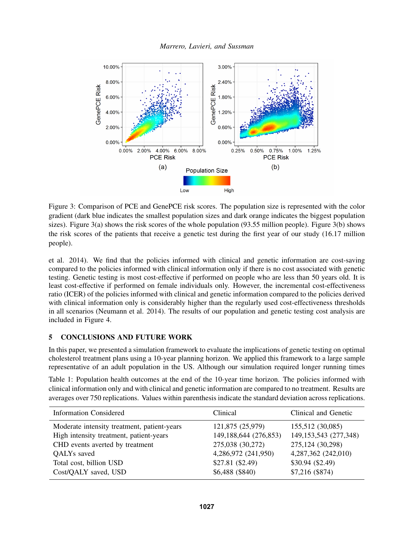

<span id="page-7-1"></span>Figure 3: Comparison of PCE and GenePCE risk scores. The population size is represented with the color gradient (dark blue indicates the smallest population sizes and dark orange indicates the biggest population sizes). Figure [3\(](#page-7-1)a) shows the risk scores of the whole population (93.55 million people). Figure [3\(](#page-7-1)b) shows the risk scores of the patients that receive a genetic test during the first year of our study (16.17 million people).

[et al. 2014\)](#page-10-18). We find that the policies informed with clinical and genetic information are cost-saving compared to the policies informed with clinical information only if there is no cost associated with genetic testing. Genetic testing is most cost-effective if performed on people who are less than 50 years old. It is least cost-effective if performed on female individuals only. However, the incremental cost-effectiveness ratio (ICER) of the policies informed with clinical and genetic information compared to the policies derived with clinical information only is considerably higher than the regularly used cost-effectiveness thresholds in all scenarios [\(Neumann et al. 2014\)](#page-10-18). The results of our population and genetic testing cost analysis are included in Figure [4.](#page-8-0)

## <span id="page-7-0"></span>5 CONCLUSIONS AND FUTURE WORK

In this paper, we presented a simulation framework to evaluate the implications of genetic testing on optimal cholesterol treatment plans using a 10-year planning horizon. We applied this framework to a large sample representative of an adult population in the US. Although our simulation required longer running times

<span id="page-7-2"></span>Table 1: Population health outcomes at the end of the 10-year time horizon. The policies informed with clinical information only and with clinical and genetic information are compared to no treatment. Results are averages over 750 replications. Values within parenthesis indicate the standard deviation across replications.

| <b>Information Considered</b>               | Clinical              | Clinical and Genetic     |
|---------------------------------------------|-----------------------|--------------------------|
| Moderate intensity treatment, patient-years | 121,875 (25,979)      | 155,512 (30,085)         |
| High intensity treatment, patient-years     | 149,188,644 (276,853) | 149, 153, 543 (277, 348) |
| CHD events averted by treatment             | 275,038 (30,272)      | 275,124 (30,298)         |
| QALYs saved                                 | 4,286,972 (241,950)   | 4,287,362 (242,010)      |
| Total cost, billion USD                     | \$27.81 (\$2.49)      | \$30.94 (\$2.49)         |
| Cost/QALY saved, USD                        | $$6,488$ (\$840)      | $$7,216$ (\$874)         |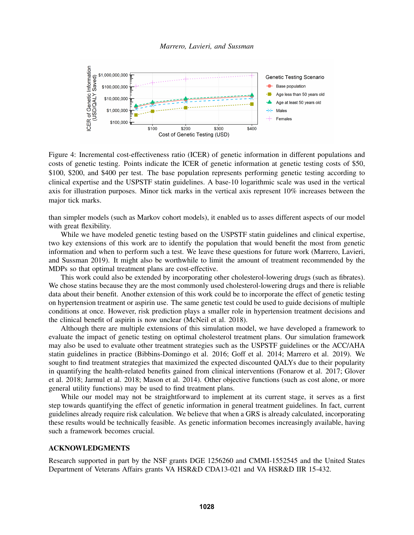

<span id="page-8-0"></span>Figure 4: Incremental cost-effectiveness ratio (ICER) of genetic information in different populations and costs of genetic testing. Points indicate the ICER of genetic information at genetic testing costs of \$50, \$100, \$200, and \$400 per test. The base population represents performing genetic testing according to clinical expertise and the USPSTF statin guidelines. A base-10 logarithmic scale was used in the vertical axis for illustration purposes. Minor tick marks in the vertical axis represent 10% increases between the major tick marks.

than simpler models (such as Markov cohort models), it enabled us to asses different aspects of our model with great flexibility.

While we have modeled genetic testing based on the USPSTF statin guidelines and clinical expertise, two key extensions of this work are to identify the population that would benefit the most from genetic information and when to perform such a test. We leave these questions for future work [\(Marrero, Lavieri,](#page-10-19) [and Sussman 2019\)](#page-10-19). It might also be worthwhile to limit the amount of treatment recommended by the MDPs so that optimal treatment plans are cost-effective.

This work could also be extended by incorporating other cholesterol-lowering drugs (such as fibrates). We chose statins because they are the most commonly used cholesterol-lowering drugs and there is reliable data about their benefit. Another extension of this work could be to incorporate the effect of genetic testing on hypertension treatment or aspirin use. The same genetic test could be used to guide decisions of multiple conditions at once. However, risk prediction plays a smaller role in hypertension treatment decisions and the clinical benefit of aspirin is now unclear [\(McNeil et al. 2018\)](#page-10-20).

Although there are multiple extensions of this simulation model, we have developed a framework to evaluate the impact of genetic testing on optimal cholesterol treatment plans. Our simulation framework may also be used to evaluate other treatment strategies such as the USPSTF guidelines or the ACC/AHA statin guidelines in practice [\(Bibbins-Domingo et al. 2016;](#page-9-2) [Goff et al. 2014;](#page-9-1) [Marrero et al. 2019\)](#page-10-10). We sought to find treatment strategies that maximized the expected discounted QALYs due to their popularity in quantifying the health-related benefits gained from clinical interventions [\(Fonarow et al. 2017;](#page-9-8) [Glover](#page-9-3) [et al. 2018;](#page-9-3) [Jarmul et al. 2018;](#page-10-2) [Mason et al. 2014\)](#page-10-7). Other objective functions (such as cost alone, or more general utility functions) may be used to find treatment plans.

While our model may not be straightforward to implement at its current stage, it serves as a first step towards quantifying the effect of genetic information in general treatment guidelines. In fact, current guidelines already require risk calculation. We believe that when a GRS is already calculated, incorporating these results would be technically feasible. As genetic information becomes increasingly available, having such a framework becomes crucial.

## ACKNOWLEDGMENTS

Research supported in part by the NSF grants DGE 1256260 and CMMI-1552545 and the United States Department of Veterans Affairs grants VA HSR&D CDA13-021 and VA HSR&D IIR 15-432.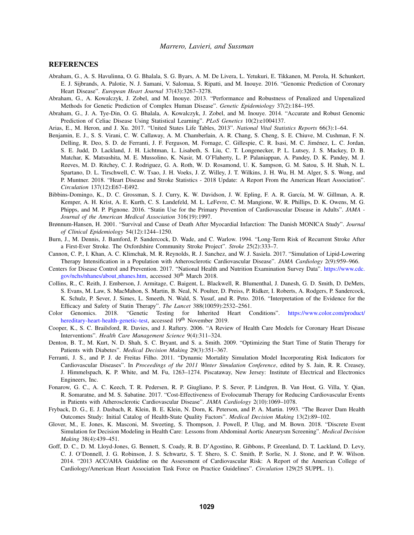#### **REFERENCES**

- <span id="page-9-12"></span>Abraham, G., A. S. Havulinna, O. G. Bhalala, S. G. Byars, A. M. De Livera, L. Yetukuri, E. Tikkanen, M. Perola, H. Schunkert, E. J. Sijbrands, A. Palotie, N. J. Samani, V. Salomaa, S. Ripatti, and M. Inouye. 2016. "Genomic Prediction of Coronary Heart Disease". *European Heart Journal* 37(43):3267–3278.
- <span id="page-9-5"></span>Abraham, G., A. Kowalczyk, J. Zobel, and M. Inouye. 2013. "Performance and Robustness of Penalized and Unpenalized Methods for Genetic Prediction of Complex Human Disease". *Genetic Epidemiology* 37(2):184–195.
- <span id="page-9-4"></span>Abraham, G., J. A. Tye-Din, O. G. Bhalala, A. Kowalczyk, J. Zobel, and M. Inouye. 2014. "Accurate and Robust Genomic Prediction of Celiac Disease Using Statistical Learning". *PLoS Genetics* 10(2):e1004137.
- <span id="page-9-16"></span>Arias, E., M. Heron, and J. Xu. 2017. "United States Life Tables, 2013". *National Vital Statistics Reports* 66(3):1–64.
- <span id="page-9-0"></span>Benjamin, E. J., S. S. Virani, C. W. Callaway, A. M. Chamberlain, A. R. Chang, S. Cheng, S. E. Chiuve, M. Cushman, F. N. Delling, R. Deo, S. D. de Ferranti, J. F. Ferguson, M. Fornage, C. Gillespie, C. R. Isasi, M. C. Jimenez, L. C. Jordan, ´ S. E. Judd, D. Lackland, J. H. Lichtman, L. Lisabeth, S. Liu, C. T. Longenecker, P. L. Lutsey, J. S. Mackey, D. B. Matchar, K. Matsushita, M. E. Mussolino, K. Nasir, M. O'Flaherty, L. P. Palaniappan, A. Pandey, D. K. Pandey, M. J. Reeves, M. D. Ritchey, C. J. Rodriguez, G. A. Roth, W. D. Rosamond, U. K. Sampson, G. M. Satou, S. H. Shah, N. L. Spartano, D. L. Tirschwell, C. W. Tsao, J. H. Voeks, J. Z. Willey, J. T. Wilkins, J. H. Wu, H. M. Alger, S. S. Wong, and P. Muntner. 2018. "Heart Disease and Stroke Statistics - 2018 Update: A Report From the American Heart Association". *Circulation* 137(12):E67–E492.
- <span id="page-9-2"></span>Bibbins-Domingo, K., D. C. Grossman, S. J. Curry, K. W. Davidson, J. W. Epling, F. A. R. García, M. W. Gillman, A. R. Kemper, A. H. Krist, A. E. Kurth, C. S. Landefeld, M. L. LeFevre, C. M. Mangione, W. R. Phillips, D. K. Owens, M. G. Phipps, and M. P. Pignone. 2016. "Statin Use for the Primary Prevention of Cardiovascular Disease in Adults". *JAMA - Journal of the American Medical Association* 316(19):1997.
- <span id="page-9-14"></span>Brønnum-Hansen, H. 2001. "Survival and Cause of Death After Myocardial Infarction: The Danish MONICA Study". *Journal of Clinical Epidemiology* 54(12):1244–1250.
- <span id="page-9-15"></span>Burn, J., M. Dennis, J. Bamford, P. Sandercock, D. Wade, and C. Warlow. 1994. "Long-Term Risk of Recurrent Stroke After a First-Ever Stroke. The Oxfordshire Community Stroke Project". *Stroke* 25(2):333–7.
- <span id="page-9-9"></span>Cannon, C. P., I. Khan, A. C. Klimchak, M. R. Reynolds, R. J. Sanchez, and W. J. Sasiela. 2017. "Simulation of Lipid-Lowering Therapy Intensification in a Population with Atherosclerotic Cardiovascular Disease". *JAMA Cardiology* 2(9):959–966.
- <span id="page-9-11"></span>Centers for Disease Control and Prevention. 2017. "National Health and Nutrition Examination Survey Data". [https://www.cdc.](https://www.cdc.gov/nchs/nhanes/about_nhanes.htm) [gov/nchs/nhanes/about](https://www.cdc.gov/nchs/nhanes/about_nhanes.htm)\_nhanes.htm, accessed 30<sup>th</sup> March 2018.
- <span id="page-9-13"></span>Collins, R., C. Reith, J. Emberson, J. Armitage, C. Baigent, L. Blackwell, R. Blumenthal, J. Danesh, G. D. Smith, D. DeMets, S. Evans, M. Law, S. MacMahon, S. Martin, B. Neal, N. Poulter, D. Preiss, P. Ridker, I. Roberts, A. Rodgers, P. Sandercock, K. Schulz, P. Sever, J. Simes, L. Smeeth, N. Wald, S. Yusuf, and R. Peto. 2016. "Interpretation of the Evidence for the Efficacy and Safety of Statin Therapy". *The Lancet* 388(10059):2532–2561.
- <span id="page-9-18"></span>Color Genomics. 2018. "Genetic Testing for Inherited Heart Conditions". [https://www.color.com/product/](https://www.color.com/product/hereditary-heart-health-genetic-test) [hereditary-heart-health-genetic-test,](https://www.color.com/product/hereditary-heart-health-genetic-test) accessed 19<sup>th</sup> November 2019.
- <span id="page-9-6"></span>Cooper, K., S. C. Brailsford, R. Davies, and J. Raftery. 2006. "A Review of Health Care Models for Coronary Heart Disease Interventions". *Health Care Management Science* 9(4):311–324.
- <span id="page-9-7"></span>Denton, B. T., M. Kurt, N. D. Shah, S. C. Bryant, and S. a. Smith. 2009. "Optimizing the Start Time of Statin Therapy for Patients with Diabetes". *Medical Decision Making* 29(3):351–367.
- <span id="page-9-10"></span>Ferranti, J. S., and P. J. de Freitas Filho. 2011. "Dynamic Mortality Simulation Model Incorporating Risk Indicators for Cardiovascular Diseases". In *Proceedings of the 2011 Winter Simulation Conference*, edited by S. Jain, R. R. Creasey, J. Himmelspach, K. P. White, and M. Fu, 1263–1274. Piscataway, New Jersey: Institute of Electrical and Electronics Engineers, Inc.
- <span id="page-9-8"></span>Fonarow, G. C., A. C. Keech, T. R. Pedersen, R. P. Giugliano, P. S. Sever, P. Lindgren, B. Van Hout, G. Villa, Y. Qian, R. Somaratne, and M. S. Sabatine. 2017. "Cost-Effectiveness of Evolocumab Therapy for Reducing Cardiovascular Events in Patients with Atherosclerotic Cardiovascular Disease". *JAMA Cardiology* 2(10):1069–1078.
- <span id="page-9-17"></span>Fryback, D. G., E. J. Dasbach, R. Klein, B. E. Klein, N. Dorn, K. Peterson, and P. A. Martin. 1993. "The Beaver Dam Health Outcomes Study: Initial Catalog of Health-State Quality Factors". *Medical Decision Making* 13(2):89–102.
- <span id="page-9-3"></span>Glover, M., E. Jones, K. Masconi, M. Sweeting, S. Thompson, J. Powell, P. Ulug, and M. Bown. 2018. "Discrete Event Simulation for Decision Modeling in Health Care: Lessons from Abdominal Aortic Aneurysm Screening". *Medical Decision Making* 38(4):439–451.
- <span id="page-9-1"></span>Goff, D. C., D. M. Lloyd-Jones, G. Bennett, S. Coady, R. B. D'Agostino, R. Gibbons, P. Greenland, D. T. Lackland, D. Levy, C. J. O'Donnell, J. G. Robinson, J. S. Schwartz, S. T. Shero, S. C. Smith, P. Sorlie, N. J. Stone, and P. W. Wilson. 2014. "2013 ACC/AHA Guideline on the Assessment of Cardiovascular Risk: A Report of the American College of Cardiology/American Heart Association Task Force on Practice Guidelines". *Circulation* 129(25 SUPPL. 1).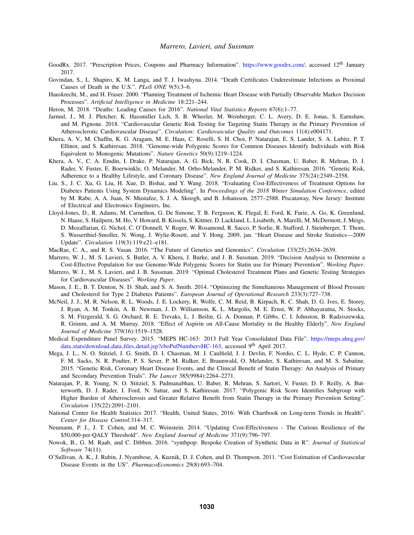- <span id="page-10-16"></span>GoodRx. 2017. "Prescription Prices, Coupons and Pharmacy Information". [https://www.goodrx.com/,](https://www.goodrx.com/) accessed 12<sup>th</sup> January 2017.
- <span id="page-10-17"></span>Govindan, S., L. Shapiro, K. M. Langa, and T. J. Iwashyna. 2014. "Death Certificates Underestimate Infections as Proximal Causes of Death in the U.S.". *PLoS ONE* 9(5):3–6.
- <span id="page-10-6"></span>Hauskrecht, M., and H. Fraser. 2000. "Planning Treatment of Ischemic Heart Disease with Partially Observable Markov Decision Processes". *Artificial Intelligence in Medicine* 18:221–244.
- <span id="page-10-0"></span>Heron, M. 2018. "Deaths: Leading Causes for 2016". *National Vital Statistics Reports* 67(6):1–77.
- <span id="page-10-2"></span>Jarmul, J., M. J. Pletcher, K. Hassmiller Lich, S. B. Wheeler, M. Weinberger, C. L. Avery, D. E. Jonas, S. Earnshaw, and M. Pignone. 2018. "Cardiovascular Genetic Risk Testing for Targeting Statin Therapy in the Primary Prevention of Atherosclerotic Cardiovascular Disease". *Circulation: Cardiovascular Quality and Outcomes* 11(4):e004171.
- <span id="page-10-11"></span>Khera, A. V., M. Chaffin, K. G. Aragam, M. E. Haas, C. Roselli, S. H. Choi, P. Natarajan, E. S. Lander, S. A. Lubitz, P. T. Ellinor, and S. Kathiresan. 2018. "Genome-wide Polygenic Scores for Common Diseases Identify Individuals with Risk Equivalent to Monogenic Mutations". *Nature Genetics* 50(9):1219–1224.
- <span id="page-10-4"></span>Khera, A. V., C. A. Emdin, I. Drake, P. Natarajan, A. G. Bick, N. R. Cook, D. I. Chasman, U. Baber, R. Mehran, D. J. Rader, V. Fuster, E. Boerwinkle, O. Melander, M. Orho-Melander, P. M. Ridker, and S. Kathiresan. 2016. "Genetic Risk, Adherence to a Healthy Lifestyle, and Coronary Disease". *New England Journal of Medicine* 375(24):2349–2358.
- <span id="page-10-8"></span>Liu, S., J. C. Xu, G. Liu, H. Xue, D. Bishai, and Y. Wang. 2018. "Evaluating Cost-Effectiveness of Treatment Options for Diabetes Patients Using System Dynamics Modeling". In *Proceedings of the 2018 Winter Simulation Conference*, edited by M. Rabe, A. A. Juan, N. Mustafee, S. J. A. Skoogh, and B. Johansson, 2577–2588. Piscataway, New Jersey: Institute of Electrical and Electronics Engineers, Inc.
- <span id="page-10-12"></span>Lloyd-Jones, D., R. Adams, M. Carnethon, G. De Simone, T. B. Ferguson, K. Flegal, E. Ford, K. Furie, A. Go, K. Greenlund, N. Haase, S. Hailpern, M. Ho, V. Howard, B. Kissela, S. Kittner, D. Lackland, L. Lisabeth, A. Marelli, M. McDermott, J. Meigs, D. Mozaffarian, G. Nichol, C. O'Donnell, V. Roger, W. Rosamond, R. Sacco, P. Sorlie, R. Stafford, J. Steinberger, T. Thom, S. Wasserthiel-Smoller, N. Wong, J. Wylie-Rosett, and Y. Hong. 2009, jan. "Heart Disease and Stroke Statistics—2009 Update". *Circulation* 119(3):119:e21–e181.
- <span id="page-10-1"></span>MacRae, C. A., and R. S. Vasan. 2016. "The Future of Genetics and Genomics". *Circulation* 133(25):2634–2639.
- <span id="page-10-10"></span>Marrero, W. J., M. S. Lavieri, S. Butler, A. V. Khera, J. Burke, and J. B. Sussman. 2019. "Decision Analysis to Determine a Cost-Effective Population for use Genome-Wide Polygenic Scores for Statin use for Primary Prevention". *Working Paper*.
- <span id="page-10-19"></span>Marrero, W. J., M. S. Lavieri, and J. B. Sussman. 2019. "Optimal Cholesterol Treatment Plans and Genetic Testing Strategies for Cardiovascular Diseases". *Working Paper*.
- <span id="page-10-7"></span>Mason, J. E., B. T. Denton, N. D. Shah, and S. A. Smith. 2014. "Optimizing the Simultaneous Management of Blood Pressure and Cholesterol for Type 2 Diabetes Patients". *European Journal of Operational Research* 233(3):727–738.
- <span id="page-10-20"></span>McNeil, J. J., M. R. Nelson, R. L. Woods, J. E. Lockery, R. Wolfe, C. M. Reid, B. Kirpach, R. C. Shah, D. G. Ives, E. Storey, J. Ryan, A. M. Tonkin, A. B. Newman, J. D. Williamson, K. L. Margolis, M. E. Ernst, W. P. Abhayaratna, N. Stocks, S. M. Fitzgerald, S. G. Orchard, R. E. Trevaks, L. J. Beilin, G. A. Donnan, P. Gibbs, C. I. Johnston, B. Radziszewska, R. Grimm, and A. M. Murray. 2018. "Effect of Aspirin on All-Cause Mortality in the Healthy Elderly". *New England Journal of Medicine* 379(16):1519–1528.
- <span id="page-10-15"></span>Medical Expenditure Panel Survey. 2015. "MEPS HC-163: 2013 Full Year Consolidated Data File". [https://meps.ahrq.gov/](https://meps.ahrq.gov/data_stats/download_data_files_detail.jsp?cboPufNumber=HC-163) data\_stats/download\_data\_files\_[detail.jsp?cboPufNumber=HC-163,](https://meps.ahrq.gov/data_stats/download_data_files_detail.jsp?cboPufNumber=HC-163) accessed 9<sup>th</sup> April 2017.
- <span id="page-10-3"></span>Mega, J. L., N. O. Stitziel, J. G. Smith, D. I. Chasman, M. J. Caulfield, J. J. Devlin, F. Nordio, C. L. Hyde, C. P. Cannon, F. M. Sacks, N. R. Poulter, P. S. Sever, P. M. Ridker, E. Braunwald, O. Melander, S. Kathiresan, and M. S. Sabatine. 2015. "Genetic Risk, Coronary Heart Disease Events, and the Clinical Benefit of Statin Therapy: An Analysis of Primary and Secondary Prevention Trials". *The Lancet* 385(9984):2264–2271.
- <span id="page-10-5"></span>Natarajan, P., R. Young, N. O. Stitziel, S. Padmanabhan, U. Baber, R. Mehran, S. Sartori, V. Fuster, D. F. Reilly, A. Butterworth, D. J. Rader, I. Ford, N. Sattar, and S. Kathiresan. 2017. "Polygenic Risk Score Identifies Subgroup with Higher Burden of Atherosclerosis and Greater Relative Benefit from Statin Therapy in the Primary Prevention Setting". *Circulation* 135(22):2091–2101.
- <span id="page-10-13"></span>National Center for Health Statistics 2017. "Health, United States, 2016: With Chartbook on Long-term Trends in Health". *Center for Disease Control*:314–317.
- <span id="page-10-18"></span>Neumann, P. J., J. T. Cohen, and M. C. Weinstein. 2014. "Updating Cost-Effectiveness - The Curious Resilience of the \$50,000-per-QALY Threshold". *New England Journal of Medicine* 371(9):796–797.
- <span id="page-10-9"></span>Nowok, B., G. M. Raab, and C. Dibben. 2016. "synthpop: Bespoke Creation of Synthetic Data in R". *Journal of Statistical Software* 74(11).
- <span id="page-10-14"></span>O'Sullivan, A. K., J. Rubin, J. Nyambose, A. Kuznik, D. J. Cohen, and D. Thompson. 2011. "Cost Estimation of Cardiovascular Disease Events in the US". *PharmacoEconomics* 29(8):693–704.